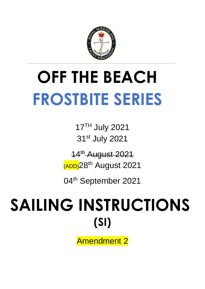

# **OFF THE BEACH FROSTBITE SERIES**

17TH July 2021 31st July 2021

14<sup>th</sup> August 2021 (ADD) 28<sup>th</sup> August 2021

04<sup>th</sup> September 2021

# SAILING INSTRUCTIONS **(SI)**

Amendment 2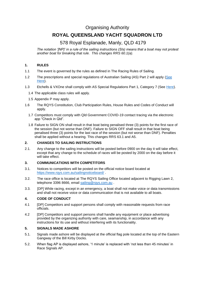### Organising Authority

# **ROYAL QUEENSLAND YACHT SQUADRON LTD**

## 578 Royal Esplanade, Manly, QLD 4179

*The notation '[NP]' in a rule of the sailing instructions (SIs) means that a boat may not protest another boat for breaking that rule. This changes RRS 60.1(a).* 

#### **1. RULES**

- 1.1 The event is governed by the rules as defined in The Racing Rules of Sailing.
- 1.2 The prescriptions and special regulations of Australian Sailing (AS) Part 2 will apply [\(See](https://cdn.revolutionise.com.au/site/xa1nwvde4pplvtmv.pdf)  [Here\)](https://cdn.revolutionise.com.au/site/xa1nwvde4pplvtmv.pdf).
- 1.3 Etchells & VXOne shall comply with AS Special Regulations Part 1, Category 7 (See [Here\)](https://cdn.revolutionise.com.au/site/dcppqwtztjf34alt.pdf).
	- 1.4 The applicable class rules will apply.
	- 1.5 Appendix P may apply.
- 1.6 The RQYS Constitution, Club Participation Rules, House Rules and Codes of Conduct will apply.
	- 1.7 Competitors must comply with Qld Government COVID-19 contact tracing via the electronic app "Check in Qld".
	- 1.8 Failure to SIGN ON shall result in that boat being penalised three (3) points for the first race of the session (but not worse than DNF). Failure to SIGN OFF shall result in that boat being penalised three (3) points for the last race of the session (but not worse than DNF). Penalties shall be applied without a hearing. This changes RRS 63.1 and A5.

#### **2. CHANGES TO SAILING INSTRUCTIONS**

2.1. Any change to the sailing instructions will be posted before 0900 on the day it will take effect, except that any change to the schedule of races will be posted by 2000 on the day before it will take effect.

#### **3. COMMUNICATIONS WITH COMPETITORS**

- 3.1. Notices to competitors will be posted on the official notice board located at <https://www.rqys.com.au/sailingnoticeboard/> .
- 3.2. The race office is located at The RQYS Sailing Office located adjacent to Rigging Lawn 2, telephone 3396 8666, email sailing@rgys.com.au.
- 3.3. [DP] While racing, except in an emergency, a boat shall not make voice or data transmissions and shall not receive voice or data communication that is not available to all boats.

#### **4. CODE OF CONDUCT**

- 4.1 [DP] Competitors and support persons shall comply with reasonable requests from race officials.
- 4.2 [DP] Competitors and support persons shall handle any equipment or place advertising provided by the organizing authority with care, seamanship, in accordance with any instructions for its use and without interfering with its functionality.

#### **5. SIGNALS MADE ASHORE**

- 5.1. Signals made ashore will be displayed at the official flag pole located at the top of the Eastern Gangway of the Bill Kirby Docks.
- 5.2. When flag AP is displayed ashore, '1 minute' is replaced with 'not less than 45 minutes' in Race Signals AP.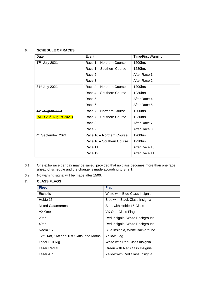#### **6. SCHEDULE OF RACES**

| Date                               | Event                     | <b>Time/First Warning</b> |
|------------------------------------|---------------------------|---------------------------|
| 17th July 2021                     | Race 1 - Northern Course  | 1200hrs                   |
|                                    | Race 1 - Southern Course  | 1230hrs                   |
|                                    | Race 2                    | After Race 1              |
|                                    | Race 3                    | After Race 2              |
| 31 <sup>st</sup> July 2021         | Race 4 - Northern Course  | 1200hrs                   |
|                                    | Race 4 – Southern Course  | 1230hrs                   |
|                                    | Race 5                    | After Race 4              |
|                                    | Race 6                    | After Race 5              |
| 14 <sup>th</sup> August 2021       | Race 7 - Northern Course  | 1200hrs                   |
| (ADD 28 <sup>th</sup> August 2021) | Race 7 - Southern Course  | 1230hrs                   |
|                                    | Race 8                    | After Race 7              |
|                                    | Race 9                    | After Race 8              |
| 4 <sup>th</sup> September 2021     | Race 10 - Northern Course | 1200hrs                   |
|                                    | Race 10 - Southern Course | 1230hrs                   |
|                                    | Race 11                   | After Race 10             |
|                                    | Race 12                   | After Race 11             |

- 6.1. One extra race per day may be sailed, provided that no class becomes more than one race ahead of schedule and the change is made according to SI 2.1.
- 6.2. No warning signal will be made after 1500.

#### **7. CLASS FLAGS**

| <b>Fleet</b>                                | <b>Flag</b>                     |
|---------------------------------------------|---------------------------------|
| <b>Etchells</b>                             | White with Blue Class Insignia  |
| Hobie 16                                    | Blue with Black Class Insignia  |
| <b>Mixed Catamarans</b>                     | Start with Hobie 16 Class       |
| VX One                                      | VX One Class Flag               |
| 29er                                        | Red Insignia, White Background  |
| 49er                                        | Red Insignia, White Background  |
| Nacra 15                                    | Blue Insignia, White Background |
| 12ft, 14ft, 16ft and 18ft Skiffs, and Moths | Yellow Flag                     |
| Laser Full Rig                              | White with Red Class Insignia   |
| Laser Radial                                | Green with Red Class Insignia   |
| Laser 4.7                                   | Yellow with Red Class Insignia  |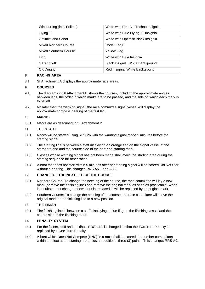| Windsurfing (incl. Foilers)  | White with Red Bic Techno Insignia |
|------------------------------|------------------------------------|
| Flying 11                    | White with Blue Flying 11 Insignia |
| <b>Optimist and Sabot</b>    | White with Optimist Black Insignia |
| <b>Mixed Northern Course</b> | Code Flag E                        |
| <b>Mixed Southern Course</b> | <b>Yellow Flag</b>                 |
| Finn                         | White with Blue Insignia           |
| O'Pen Skiff                  | Black Insignia, White Background   |
| OK Dinghy                    | Red Insignia, White Background     |

#### **8. RACING AREA**

8.1 SI Attachment A displays the approximate race areas.

#### **9. COURSES**

- 9.1. The diagrams in SI Attachment B shows the courses, including the approximate angles between legs, the order in which marks are to be passed, and the side on which each mark is to be left.
- 9.2. No later than the warning signal, the race committee signal vessel will display the approximate compass bearing of the first leg.

#### **10. MARKS**

10.1. Marks are as described in SI Attachment B

#### **11. THE START**

- 11.1. Races will be started using RRS 26 with the warning signal made 5 minutes before the starting signal.
- 11.2. The starting line is between a staff displaying an orange flag on the signal vessel at the starboard end and the course side of the port-end starting mark.
- 11.3. Classes whose warning signal has not been made shall avoid the starting area during the starting sequence for other races.
- 11.4. A boat that does not start within 5 minutes after her starting signal will be scored Did Not Start without a hearing. This changes RRS A5.1 and A5.2.

#### **12. CHANGE OF THE NEXT LEG OF THE COURSE**

- 12.1. Northern Course: To change the next leg of the course, the race committee will lay a new mark (or move the finishing line) and remove the original mark as soon as practicable. When in a subsequent change a new mark is replaced, it will be replaced by an original mark.
- 12.2. Southern Course: To change the next leg of the course, the race committee will move the original mark or the finishing line to a new position.

#### **13. THE FINISH**

13.1. The finishing line is between a staff displaying a blue flag on the finishing vessel and the course side of the finishing mark.

#### **14. PENALTY SYSTEM**

- 14.1. For the foilers, skiff and multihull, RRS 44.1 is changed so that the Two-Turn Penalty is replaced by a One-Turn Penalty.
- 14.2. A boat which Does Not Compete (DNC) in a race shall be scored the number competitors within the fleet at the starting area, plus an additional three (3) points. This changes RRS A9.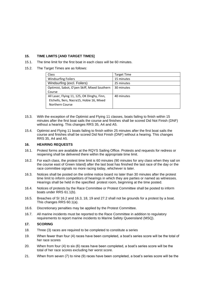#### **15. TIME LIMITS [AND TARGET TIMES]**

- 15.1. The time limit for the first boat in each class will be 60 minutes.
- 15.2. The Target Times are as follows:

| Class                                        | <b>Target Time</b> |
|----------------------------------------------|--------------------|
| <b>Windsurfing Foilers</b>                   | 15 minutes         |
| Windsurfing (excl. Foilers)                  | 25 minutes         |
| Optimist, Sabot, O'pen Skiff, Mixed Southern | 30 minutes         |
| Course                                       |                    |
| All Laser, Flying 11, 125, OK Dinghy, Finn,  | 40 minutes         |
| Etchells, 9ers, Nacra15, Hobie 16, Mixed     |                    |
| Northern Course                              |                    |

- 15.3. With the exception of the Optimist and Flying 11 classes, boats failing to finish within 15 minutes after the first boat sails the course and finishes shall be scored Did Not Finish (DNF) without a hearing. This changes RRS 35, A4 and A5.
- 15.4. Optimist and Flying 11 boats failing to finish within 25 minutes after the first boat sails the course and finishes shall be scored Did Not Finish (DNF) without a hearing. This changes RRS 35, A4 and A5.

#### **16. HEARING REQUESTS**

- 16.1. Protest forms are available at the RQYS Sailing Office. Protests and requests for redress or reopening shall be delivered there within the appropriate time limit.
- 16.2. For each class, the protest time limit is 60 minutes (90 minutes for any class when they sail on the course east of Green Island) after the last boat has finished the last race of the day or the race committee signals no more racing today, whichever is later.
- 16.3. Notices shall be posted on the online notice board no later than 30 minutes after the protest time limit to inform competitors of hearings in which they are parties or named as witnesses. Hearings shall be held in the specified protest room, beginning at the time posted.
- 16.4. Notices of protests by the Race Committee or Protest Committee shall be posted to inform boats under RRS 61.1(b).
- 16.5. Breaches of SI 16.2 and 16.3, 18, 19 and 27.2 shall not be grounds for a protest by a boat. This changes RRS 60.1(a).
- 16.6. Discretionary penalties may be applied by the Protest Committee.
- 16.7. All marine incidents must be reported to the Race Committee in addition to regulatory requirements to report marine incidents to Marine Safety Queensland (MSQ).

#### **17. SCORING**

- 18. Three (3) races are required to be completed to constitute a series
- 19. When fewer than four (4) races have been completed, a boat's series score will be the total of her race scores
- 20. When from four (4) to six (6) races have been completed, a boat's series score will be the total of her race scores excluding her worst score.
- 21. When from seven (7) to nine (9) races have been completed, a boat's series score will be the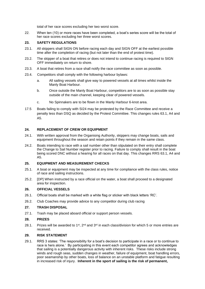total of her race scores excluding her two worst score.

22. When ten (10) or more races have been completed, a boat's series score will be the total of her race scores excluding her three worst scores.

#### **23. SAFETY REGULATIONS**

- 23.1. All skippers shall SIGN ON before racing each day and SIGN OFF at the earliest possible time after the completion of racing (but not later than the end of protest time).
- 23.2. The skipper of a boat that retires or does not intend to continue racing is required to SIGN OFF immediately on return to shore.
- 23.3. A boat that retires from a race shall notify the race committee as soon as possible.
- 23.4. Competitors shall comply with the following harbour bylaws:
	- a. All sailing vessels shall give way to powered vessels at all times whilst inside the Manly Boat Harbour.
	- b. Once outside the Manly Boat Harbour, competitors are to as soon as possible stay outside of the main channel, keeping clear of powered vessels.
	- c. No Spinnakers are to be flown in the Manly Harbour 6-knot area.
- 17.5 Boats failing to comply with SI24 may be protested by the Race Committee and receive a penalty less than DSQ as decided by the Protest Committee. This changes rules 63.1, A4 and A5.

#### **24. REPLACEMENT OF CREW OR EQUIPMENT**

- 24.1. With written approval from the Organising Authority, skippers may change boats, sails and equipment throughout the season and retain points if they remain in the same class.
- 24.2. Boats intending to race with a sail number other than stipulated on their entry shall complete the Change to Sail Number register prior to racing. Failure to comply shall result in the boat being scored DNC without a hearing for all races on that day. This changes RRS 63.1, A4 and A5.

#### **25. EQUIPMENT AND MEASUREMENT CHECKS**

- 25.1. A boat or equipment may be inspected at any time for compliance with the class rules, notice of race and sailing instructions.
- 25.2. [DP] When instructed by a race official on the water, a boat shall proceed to a designated area for inspection.

#### **26. OFFICIAL VESSELS**

- 26.1. Official boats shall be marked with a white flag or sticker with black letters 'RC'.
- 26.2. Club Coaches may provide advice to any competitor during club racing

#### **27. TRASH DISPOSAL**

27.1. Trash may be placed aboard official or support person vessels.

#### **28. PRIZES**

28.1. Prizes will be awarded to 1<sup>st</sup>, 2<sup>nd</sup> and 3<sup>rd</sup> in each class/division for which 5 or more entries are received.

#### **29. RISK STATEMENT**

29.1. RRS 3 states: 'The responsibility for a boat's decision to participate in a race or to continue to race is hers alone.' By participating in this event each competitor agrees and acknowledges that sailing is a potentially dangerous activity with inherent risks. These risks include strong winds and rough seas, sudden changes in weather, failure of equipment, boat handling errors, poor seamanship by other boats, loss of balance on an unstable platform and fatigue resulting in increased risk of injury. **Inherent in the sport of sailing is the risk of permanent,**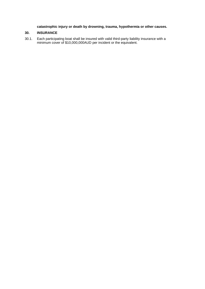#### **catastrophic injury or death by drowning, trauma, hypothermia or other causes.**

#### **30. INSURANCE**

30.1. Each participating boat shall be insured with valid third-party liability insurance with a minimum cover of \$10,000,000AUD per incident or the equivalent.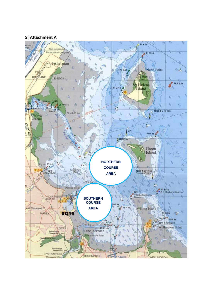#### **SI Attachment A**

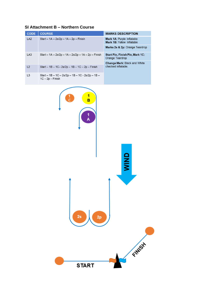|  | SI Attachment B - Northern Course |  |  |  |
|--|-----------------------------------|--|--|--|
|--|-----------------------------------|--|--|--|

| <b>CODE</b>                                                 | <b>COURSE</b>                                                                          | <b>MARKS DESCRIPTION</b>                                 |  |
|-------------------------------------------------------------|----------------------------------------------------------------------------------------|----------------------------------------------------------|--|
| LA <sub>2</sub><br>Start – $1A - 2s/2p - 1A - 2p - F$ inish |                                                                                        | Mark 1A: Purple Inflatable<br>Mark 1B: Yellow Inflatable |  |
|                                                             |                                                                                        | Marks 2s & 2p: Orange Teardrop                           |  |
| LA <sub>3</sub>                                             | Start $-$ 1A $-$ 2s/2p $-$ 1A $-$ 2s/2p $-$ 1A $-$ 2p $-$ Finish                       | Start Pin, Finish Pin, Mark 1C:<br>Orange Teardrop       |  |
|                                                             |                                                                                        | <b>Change Mark: Black and White</b>                      |  |
| L <sub>2</sub>                                              | Start $-$ 1B $-$ 1C $-$ 2s/2p $-$ 1B $-$ 1C $-$ 2p $-$ Finish                          | checked inflatable.                                      |  |
| L <sub>3</sub>                                              | Start $-$ 1B $-$ 1C $-$ 2s/2p $-$ 1B $-$ 1C $-$ 2s/2p $-$ 1B $-$<br>$1C - 2p - Finish$ |                                                          |  |